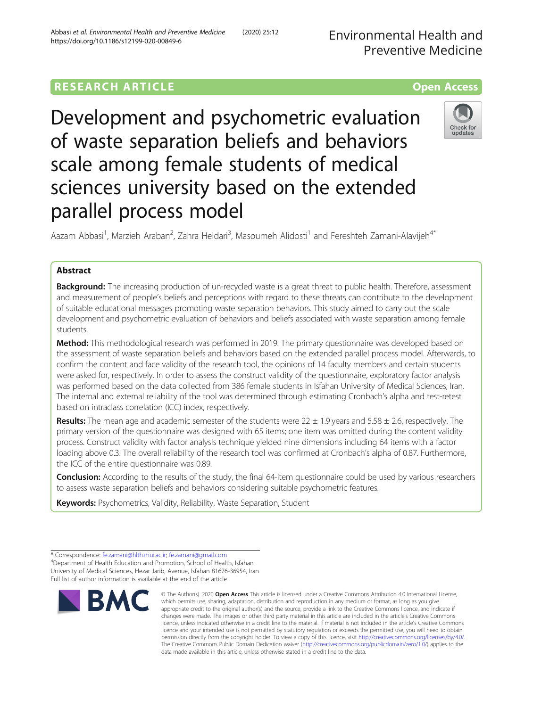# **RESEARCH ARTICLE Example 2014 12:30 The Contract of Contract ACCESS**

Development and psychometric evaluation of waste separation beliefs and behaviors scale among female students of medical sciences university based on the extended parallel process model



Aazam Abbasi<sup>1</sup>, Marzieh Araban<sup>2</sup>, Zahra Heidari<sup>3</sup>, Masoumeh Alidosti<sup>1</sup> and Fereshteh Zamani-Alavijeh<sup>4\*</sup>

# Abstract

Background: The increasing production of un-recycled waste is a great threat to public health. Therefore, assessment and measurement of people's beliefs and perceptions with regard to these threats can contribute to the development of suitable educational messages promoting waste separation behaviors. This study aimed to carry out the scale development and psychometric evaluation of behaviors and beliefs associated with waste separation among female students.

Method: This methodological research was performed in 2019. The primary questionnaire was developed based on the assessment of waste separation beliefs and behaviors based on the extended parallel process model. Afterwards, to confirm the content and face validity of the research tool, the opinions of 14 faculty members and certain students were asked for, respectively. In order to assess the construct validity of the questionnaire, exploratory factor analysis was performed based on the data collected from 386 female students in Isfahan University of Medical Sciences, Iran. The internal and external reliability of the tool was determined through estimating Cronbach's alpha and test-retest based on intraclass correlation (ICC) index, respectively.

Results: The mean age and academic semester of the students were  $22 \pm 1.9$  years and  $5.58 \pm 2.6$ , respectively. The primary version of the questionnaire was designed with 65 items; one item was omitted during the content validity process. Construct validity with factor analysis technique yielded nine dimensions including 64 items with a factor loading above 0.3. The overall reliability of the research tool was confirmed at Cronbach's alpha of 0.87. Furthermore, the ICC of the entire questionnaire was 0.89.

Conclusion: According to the results of the study, the final 64-item questionnaire could be used by various researchers to assess waste separation beliefs and behaviors considering suitable psychometric features.

Keywords: Psychometrics, Validity, Reliability, Waste Separation, Student

<sup>\*</sup> Correspondence: [fe.zamani@hlth.mui.ac.ir;](mailto:fe.zamani@hlth.mui.ac.ir) [fe.zamani@gmail.com](mailto:fe.zamani@gmail.com) <sup>4</sup> <sup>4</sup>Department of Health Education and Promotion, School of Health, Isfahan University of Medical Sciences, Hezar Jarib, Avenue, Isfahan 81676-36954, Iran Full list of author information is available at the end of the article



<sup>©</sup> The Author(s), 2020 **Open Access** This article is licensed under a Creative Commons Attribution 4.0 International License, which permits use, sharing, adaptation, distribution and reproduction in any medium or format, as long as you give appropriate credit to the original author(s) and the source, provide a link to the Creative Commons licence, and indicate if changes were made. The images or other third party material in this article are included in the article's Creative Commons licence, unless indicated otherwise in a credit line to the material. If material is not included in the article's Creative Commons licence and your intended use is not permitted by statutory regulation or exceeds the permitted use, you will need to obtain permission directly from the copyright holder. To view a copy of this licence, visit [http://creativecommons.org/licenses/by/4.0/.](http://creativecommons.org/licenses/by/4.0/) The Creative Commons Public Domain Dedication waiver [\(http://creativecommons.org/publicdomain/zero/1.0/](http://creativecommons.org/publicdomain/zero/1.0/)) applies to the data made available in this article, unless otherwise stated in a credit line to the data.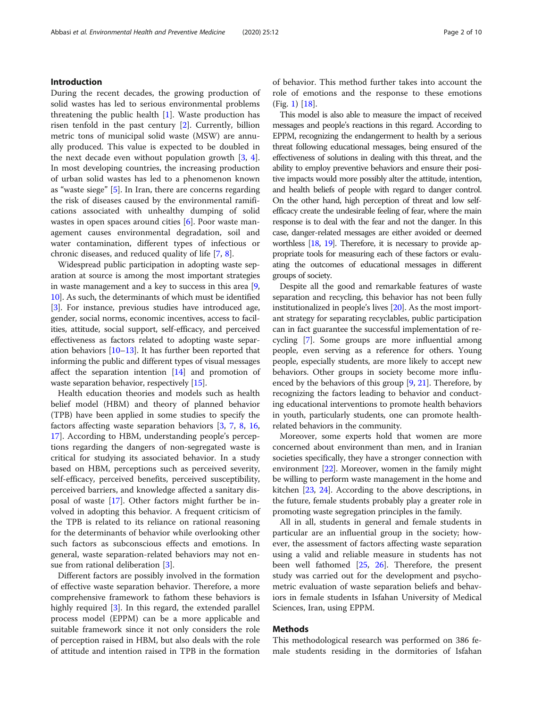# Introduction

During the recent decades, the growing production of solid wastes has led to serious environmental problems threatening the public health [[1\]](#page-8-0). Waste production has risen tenfold in the past century [[2\]](#page-8-0). Currently, billion metric tons of municipal solid waste (MSW) are annually produced. This value is expected to be doubled in the next decade even without population growth [\[3](#page-8-0), [4](#page-8-0)]. In most developing countries, the increasing production of urban solid wastes has led to a phenomenon known as "waste siege" [\[5](#page-8-0)]. In Iran, there are concerns regarding the risk of diseases caused by the environmental ramifications associated with unhealthy dumping of solid wastes in open spaces around cities [[6\]](#page-8-0). Poor waste management causes environmental degradation, soil and water contamination, different types of infectious or chronic diseases, and reduced quality of life [\[7](#page-8-0), [8](#page-8-0)].

Widespread public participation in adopting waste separation at source is among the most important strategies in waste management and a key to success in this area [[9](#page-8-0), [10](#page-8-0)]. As such, the determinants of which must be identified [[3\]](#page-8-0). For instance, previous studies have introduced age, gender, social norms, economic incentives, access to facilities, attitude, social support, self-efficacy, and perceived effectiveness as factors related to adopting waste separation behaviors [[10](#page-8-0)–[13\]](#page-9-0). It has further been reported that informing the public and different types of visual messages affect the separation intention [\[14\]](#page-9-0) and promotion of waste separation behavior, respectively [[15](#page-9-0)].

Health education theories and models such as health belief model (HBM) and theory of planned behavior (TPB) have been applied in some studies to specify the factors affecting waste separation behaviors [\[3](#page-8-0), [7](#page-8-0), [8](#page-8-0), [16](#page-9-0), [17\]](#page-9-0). According to HBM, understanding people's perceptions regarding the dangers of non-segregated waste is critical for studying its associated behavior. In a study based on HBM, perceptions such as perceived severity, self-efficacy, perceived benefits, perceived susceptibility, perceived barriers, and knowledge affected a sanitary disposal of waste [\[17](#page-9-0)]. Other factors might further be involved in adopting this behavior. A frequent criticism of the TPB is related to its reliance on rational reasoning for the determinants of behavior while overlooking other such factors as subconscious effects and emotions. In general, waste separation-related behaviors may not en-sue from rational deliberation [[3\]](#page-8-0).

Different factors are possibly involved in the formation of effective waste separation behavior. Therefore, a more comprehensive framework to fathom these behaviors is highly required [[3\]](#page-8-0). In this regard, the extended parallel process model (EPPM) can be a more applicable and suitable framework since it not only considers the role of perception raised in HBM, but also deals with the role of attitude and intention raised in TPB in the formation of behavior. This method further takes into account the role of emotions and the response to these emotions (Fig. [1](#page-2-0)) [[18](#page-9-0)].

This model is also able to measure the impact of received messages and people's reactions in this regard. According to EPPM, recognizing the endangerment to health by a serious threat following educational messages, being ensured of the effectiveness of solutions in dealing with this threat, and the ability to employ preventive behaviors and ensure their positive impacts would more possibly alter the attitude, intention, and health beliefs of people with regard to danger control. On the other hand, high perception of threat and low selfefficacy create the undesirable feeling of fear, where the main response is to deal with the fear and not the danger. In this case, danger-related messages are either avoided or deemed worthless [\[18,](#page-9-0) [19\]](#page-9-0). Therefore, it is necessary to provide appropriate tools for measuring each of these factors or evaluating the outcomes of educational messages in different groups of society.

Despite all the good and remarkable features of waste separation and recycling, this behavior has not been fully institutionalized in people's lives [\[20](#page-9-0)]. As the most important strategy for separating recyclables, public participation can in fact guarantee the successful implementation of recycling [[7\]](#page-8-0). Some groups are more influential among people, even serving as a reference for others. Young people, especially students, are more likely to accept new behaviors. Other groups in society become more influenced by the behaviors of this group  $[9, 21]$  $[9, 21]$  $[9, 21]$ . Therefore, by recognizing the factors leading to behavior and conducting educational interventions to promote health behaviors in youth, particularly students, one can promote healthrelated behaviors in the community.

Moreover, some experts hold that women are more concerned about environment than men, and in Iranian societies specifically, they have a stronger connection with environment [[22](#page-9-0)]. Moreover, women in the family might be willing to perform waste management in the home and kitchen [\[23,](#page-9-0) [24](#page-9-0)]. According to the above descriptions, in the future, female students probably play a greater role in promoting waste segregation principles in the family.

All in all, students in general and female students in particular are an influential group in the society; however, the assessment of factors affecting waste separation using a valid and reliable measure in students has not been well fathomed [[25,](#page-9-0) [26\]](#page-9-0). Therefore, the present study was carried out for the development and psychometric evaluation of waste separation beliefs and behaviors in female students in Isfahan University of Medical Sciences, Iran, using EPPM.

# Methods

This methodological research was performed on 386 female students residing in the dormitories of Isfahan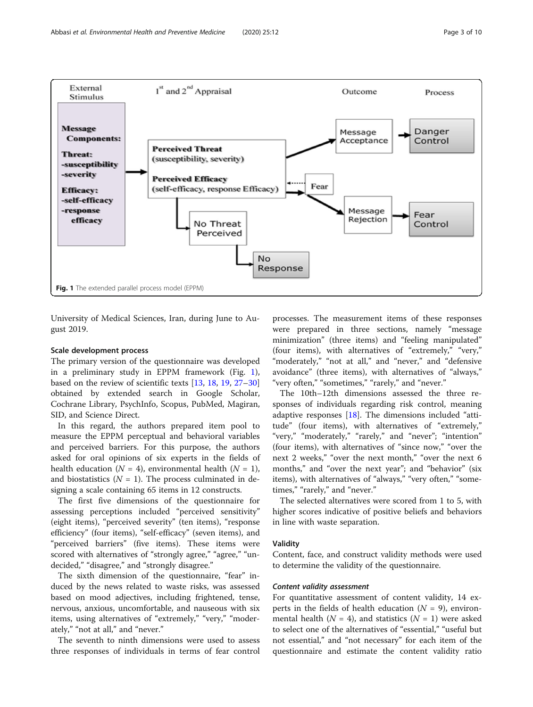<span id="page-2-0"></span>

University of Medical Sciences, Iran, during June to August 2019.

#### Scale development process

The primary version of the questionnaire was developed in a preliminary study in EPPM framework (Fig. 1), based on the review of scientific texts [[13,](#page-9-0) [18,](#page-9-0) [19,](#page-9-0) [27](#page-9-0)–[30](#page-9-0)] obtained by extended search in Google Scholar, Cochrane Library, PsychInfo, Scopus, PubMed, Magiran, SID, and Science Direct.

In this regard, the authors prepared item pool to measure the EPPM perceptual and behavioral variables and perceived barriers. For this purpose, the authors asked for oral opinions of six experts in the fields of health education ( $N = 4$ ), environmental health ( $N = 1$ ), and biostatistics  $(N = 1)$ . The process culminated in designing a scale containing 65 items in 12 constructs.

The first five dimensions of the questionnaire for assessing perceptions included "perceived sensitivity" (eight items), "perceived severity" (ten items), "response efficiency" (four items), "self-efficacy" (seven items), and "perceived barriers" (five items). These items were scored with alternatives of "strongly agree," "agree," "undecided," "disagree," and "strongly disagree."

The sixth dimension of the questionnaire, "fear" induced by the news related to waste risks, was assessed based on mood adjectives, including frightened, tense, nervous, anxious, uncomfortable, and nauseous with six items, using alternatives of "extremely," "very," "moderately," "not at all," and "never."

The seventh to ninth dimensions were used to assess three responses of individuals in terms of fear control

processes. The measurement items of these responses were prepared in three sections, namely "message minimization" (three items) and "feeling manipulated" (four items), with alternatives of "extremely," "very," "moderately," "not at all," and "never," and "defensive avoidance" (three items), with alternatives of "always," "very often," "sometimes," "rarely," and "never."

The 10th–12th dimensions assessed the three responses of individuals regarding risk control, meaning adaptive responses [\[18](#page-9-0)]. The dimensions included "attitude" (four items), with alternatives of "extremely," "very," "moderately," "rarely," and "never"; "intention" (four items), with alternatives of "since now," "over the next 2 weeks," "over the next month," "over the next 6 months," and "over the next year"; and "behavior" (six items), with alternatives of "always," "very often," "sometimes," "rarely," and "never."

The selected alternatives were scored from 1 to 5, with higher scores indicative of positive beliefs and behaviors in line with waste separation.

#### Validity

Content, face, and construct validity methods were used to determine the validity of the questionnaire.

#### Content validity assessment

For quantitative assessment of content validity, 14 experts in the fields of health education ( $N = 9$ ), environmental health ( $N = 4$ ), and statistics ( $N = 1$ ) were asked to select one of the alternatives of "essential," "useful but not essential," and "not necessary" for each item of the questionnaire and estimate the content validity ratio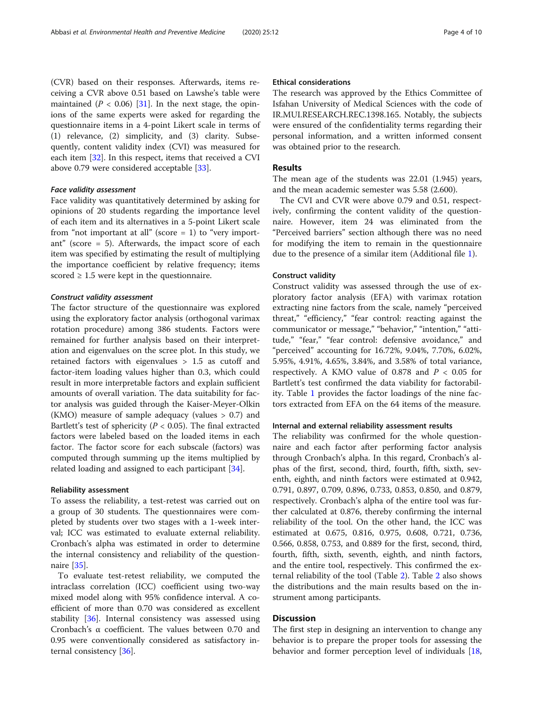(CVR) based on their responses. Afterwards, items receiving a CVR above 0.51 based on Lawshe's table were maintained ( $P < 0.06$ ) [\[31](#page-9-0)]. In the next stage, the opinions of the same experts were asked for regarding the questionnaire items in a 4-point Likert scale in terms of (1) relevance, (2) simplicity, and (3) clarity. Subsequently, content validity index (CVI) was measured for each item [[32\]](#page-9-0). In this respect, items that received a CVI above 0.79 were considered acceptable [[33\]](#page-9-0).

#### Face validity assessment

Face validity was quantitatively determined by asking for opinions of 20 students regarding the importance level of each item and its alternatives in a 5-point Likert scale from "not important at all" (score  $= 1$ ) to "very important" (score = 5). Afterwards, the impact score of each item was specified by estimating the result of multiplying the importance coefficient by relative frequency; items scored  $\geq 1.5$  were kept in the questionnaire.

#### Construct validity assessment

The factor structure of the questionnaire was explored using the exploratory factor analysis (orthogonal varimax rotation procedure) among 386 students. Factors were remained for further analysis based on their interpretation and eigenvalues on the scree plot. In this study, we retained factors with eigenvalues > 1.5 as cutoff and factor-item loading values higher than 0.3, which could result in more interpretable factors and explain sufficient amounts of overall variation. The data suitability for factor analysis was guided through the Kaiser-Meyer-Olkin (KMO) measure of sample adequacy (values > 0.7) and Bartlett's test of sphericity ( $P < 0.05$ ). The final extracted factors were labeled based on the loaded items in each factor. The factor score for each subscale (factors) was computed through summing up the items multiplied by related loading and assigned to each participant [\[34](#page-9-0)].

#### Reliability assessment

To assess the reliability, a test-retest was carried out on a group of 30 students. The questionnaires were completed by students over two stages with a 1-week interval; ICC was estimated to evaluate external reliability. Cronbach's alpha was estimated in order to determine the internal consistency and reliability of the questionnaire [\[35](#page-9-0)].

To evaluate test-retest reliability, we computed the intraclass correlation (ICC) coefficient using two-way mixed model along with 95% confidence interval. A coefficient of more than 0.70 was considered as excellent stability [\[36](#page-9-0)]. Internal consistency was assessed using Cronbach's α coefficient. The values between 0.70 and 0.95 were conventionally considered as satisfactory internal consistency [\[36](#page-9-0)].

#### Ethical considerations

The research was approved by the Ethics Committee of Isfahan University of Medical Sciences with the code of IR.MUI.RESEARCH.REC.1398.165. Notably, the subjects were ensured of the confidentiality terms regarding their personal information, and a written informed consent was obtained prior to the research.

#### Results

The mean age of the students was 22.01 (1.945) years, and the mean academic semester was 5.58 (2.600).

The CVI and CVR were above 0.79 and 0.51, respectively, confirming the content validity of the questionnaire. However, item 24 was eliminated from the "Perceived barriers" section although there was no need for modifying the item to remain in the questionnaire due to the presence of a similar item (Additional file [1\)](#page-8-0).

#### Construct validity

Construct validity was assessed through the use of exploratory factor analysis (EFA) with varimax rotation extracting nine factors from the scale, namely "perceived threat," "efficiency," "fear control: reacting against the communicator or message," "behavior," "intention," "attitude," "fear," "fear control: defensive avoidance," and "perceived" accounting for 16.72%, 9.04%, 7.70%, 6.02%, 5.95%, 4.91%, 4.65%, 3.84%, and 3.58% of total variance, respectively. A KMO value of 0.878 and  $P < 0.05$  for Bartlett's test confirmed the data viability for factorability. Table [1](#page-4-0) provides the factor loadings of the nine factors extracted from EFA on the 64 items of the measure.

#### Internal and external reliability assessment results

The reliability was confirmed for the whole questionnaire and each factor after performing factor analysis through Cronbach's alpha. In this regard, Cronbach's alphas of the first, second, third, fourth, fifth, sixth, seventh, eighth, and ninth factors were estimated at 0.942, 0.791, 0.897, 0.709, 0.896, 0.733, 0.853, 0.850, and 0.879, respectively. Cronbach's alpha of the entire tool was further calculated at 0.876, thereby confirming the internal reliability of the tool. On the other hand, the ICC was estimated at 0.675, 0.816, 0.975, 0.608, 0.721, 0.736, 0.566, 0.858, 0.753, and 0.889 for the first, second, third, fourth, fifth, sixth, seventh, eighth, and ninth factors, and the entire tool, respectively. This confirmed the external reliability of the tool (Table [2](#page-6-0)). Table [2](#page-6-0) also shows the distributions and the main results based on the instrument among participants.

### Discussion

The first step in designing an intervention to change any behavior is to prepare the proper tools for assessing the behavior and former perception level of individuals [[18](#page-9-0),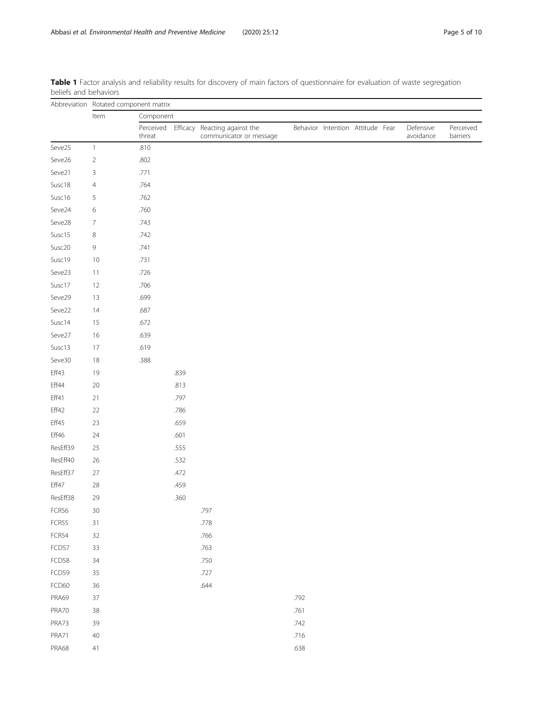|          | Abbreviation Rotated component matrix |                     |           |                                                          |      |                                  |  |  |                        |                       |  |  |  |
|----------|---------------------------------------|---------------------|-----------|----------------------------------------------------------|------|----------------------------------|--|--|------------------------|-----------------------|--|--|--|
|          | Item                                  |                     | Component |                                                          |      |                                  |  |  |                        |                       |  |  |  |
|          |                                       | Perceived<br>threat |           | Efficacy Reacting against the<br>communicator or message |      | Behavior Intention Attitude Fear |  |  | Defensive<br>avoidance | Perceived<br>barriers |  |  |  |
| Seve25   | $\mathbf{1}$                          | .810                |           |                                                          |      |                                  |  |  |                        |                       |  |  |  |
| Seve26   | $\overline{2}$                        | .802                |           |                                                          |      |                                  |  |  |                        |                       |  |  |  |
| Seve21   | 3                                     | .771                |           |                                                          |      |                                  |  |  |                        |                       |  |  |  |
| Susc18   | $\overline{4}$                        | .764                |           |                                                          |      |                                  |  |  |                        |                       |  |  |  |
| Susc16   | 5                                     | .762                |           |                                                          |      |                                  |  |  |                        |                       |  |  |  |
| Seve24   | 6                                     | .760                |           |                                                          |      |                                  |  |  |                        |                       |  |  |  |
| Seve28   | 7                                     | .743                |           |                                                          |      |                                  |  |  |                        |                       |  |  |  |
| Susc15   | 8                                     | .742                |           |                                                          |      |                                  |  |  |                        |                       |  |  |  |
| Susc20   | 9                                     | .741                |           |                                                          |      |                                  |  |  |                        |                       |  |  |  |
| Susc19   | 10                                    | .731                |           |                                                          |      |                                  |  |  |                        |                       |  |  |  |
| Seve23   | 11                                    | .726                |           |                                                          |      |                                  |  |  |                        |                       |  |  |  |
| Susc17   | 12                                    | .706                |           |                                                          |      |                                  |  |  |                        |                       |  |  |  |
| Seve29   | 13                                    | .699                |           |                                                          |      |                                  |  |  |                        |                       |  |  |  |
| Seve22   | 14                                    | .687                |           |                                                          |      |                                  |  |  |                        |                       |  |  |  |
| Susc14   | 15                                    | .672                |           |                                                          |      |                                  |  |  |                        |                       |  |  |  |
| Seve27   | 16                                    | .639                |           |                                                          |      |                                  |  |  |                        |                       |  |  |  |
| Susc13   | 17                                    | .619                |           |                                                          |      |                                  |  |  |                        |                       |  |  |  |
| Seve30   | 18                                    | .388                |           |                                                          |      |                                  |  |  |                        |                       |  |  |  |
| Eff43    | 19                                    |                     | .839      |                                                          |      |                                  |  |  |                        |                       |  |  |  |
| Eff44    | $20\,$                                |                     | .813      |                                                          |      |                                  |  |  |                        |                       |  |  |  |
| Eff41    | 21                                    |                     | .797      |                                                          |      |                                  |  |  |                        |                       |  |  |  |
| Eff42    | 22                                    |                     | .786      |                                                          |      |                                  |  |  |                        |                       |  |  |  |
| Eff45    | 23                                    |                     | .659      |                                                          |      |                                  |  |  |                        |                       |  |  |  |
| Eff46    | 24                                    |                     | .601      |                                                          |      |                                  |  |  |                        |                       |  |  |  |
| ResEff39 | 25                                    |                     | .555      |                                                          |      |                                  |  |  |                        |                       |  |  |  |
| ResEff40 | 26                                    |                     | .532      |                                                          |      |                                  |  |  |                        |                       |  |  |  |
| ResEff37 | $27\,$                                |                     | .472      |                                                          |      |                                  |  |  |                        |                       |  |  |  |
| Eff47    | 28                                    |                     | .459      |                                                          |      |                                  |  |  |                        |                       |  |  |  |
| ResEff38 | 29                                    |                     | .360      |                                                          |      |                                  |  |  |                        |                       |  |  |  |
| FCR56    | 30                                    |                     |           | .797                                                     |      |                                  |  |  |                        |                       |  |  |  |
| FCR55    | 31                                    |                     |           | .778                                                     |      |                                  |  |  |                        |                       |  |  |  |
| FCR54    | 32                                    |                     |           | .766                                                     |      |                                  |  |  |                        |                       |  |  |  |
| FCD57    | 33                                    |                     |           | .763                                                     |      |                                  |  |  |                        |                       |  |  |  |
| FCD58    | 34                                    |                     |           | .750                                                     |      |                                  |  |  |                        |                       |  |  |  |
| FCD59    | 35                                    |                     |           | .727                                                     |      |                                  |  |  |                        |                       |  |  |  |
| FCD60    | 36                                    |                     |           | .644                                                     |      |                                  |  |  |                        |                       |  |  |  |
| PRA69    | 37                                    |                     |           |                                                          | .792 |                                  |  |  |                        |                       |  |  |  |
| PRA70    | 38                                    |                     |           |                                                          | .761 |                                  |  |  |                        |                       |  |  |  |
| PRA73    | 39                                    |                     |           |                                                          | .742 |                                  |  |  |                        |                       |  |  |  |
| PRA71    | 40                                    |                     |           |                                                          | .716 |                                  |  |  |                        |                       |  |  |  |
| PRA68    | $41\,$                                |                     |           |                                                          | .638 |                                  |  |  |                        |                       |  |  |  |

<span id="page-4-0"></span>Table 1 Factor analysis and reliability results for discovery of main factors of questionnaire for evaluation of waste segregation beliefs and behaviors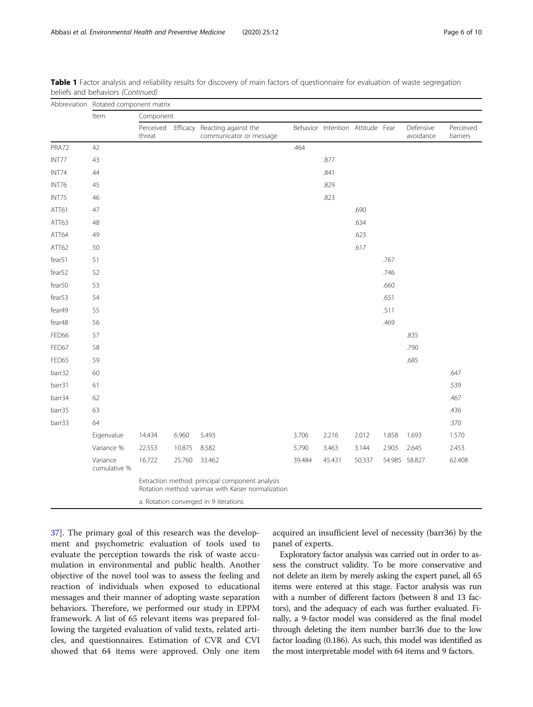|                                                                                                       | Abbreviation Rotated component matrix |                     |        |                                                          |        |                                  |        |       |                        |                       |  |
|-------------------------------------------------------------------------------------------------------|---------------------------------------|---------------------|--------|----------------------------------------------------------|--------|----------------------------------|--------|-------|------------------------|-----------------------|--|
|                                                                                                       | Item                                  | Component           |        |                                                          |        |                                  |        |       |                        |                       |  |
|                                                                                                       |                                       | Perceived<br>threat |        | Efficacy Reacting against the<br>communicator or message |        | Behavior Intention Attitude Fear |        |       | Defensive<br>avoidance | Perceived<br>barriers |  |
| PRA72                                                                                                 | 42                                    |                     |        |                                                          | .464   |                                  |        |       |                        |                       |  |
| INT77                                                                                                 | 43                                    |                     |        |                                                          |        | .877                             |        |       |                        |                       |  |
| INT74                                                                                                 | 44                                    |                     |        |                                                          |        | .841                             |        |       |                        |                       |  |
| INT76                                                                                                 | 45                                    |                     |        |                                                          |        | .829                             |        |       |                        |                       |  |
| INT75                                                                                                 | 46                                    |                     |        |                                                          |        | .823                             |        |       |                        |                       |  |
| ATT61                                                                                                 | 47                                    |                     |        |                                                          |        |                                  | .690   |       |                        |                       |  |
| ATT63                                                                                                 | 48                                    |                     |        |                                                          |        |                                  | .634   |       |                        |                       |  |
| ATT64                                                                                                 | 49                                    |                     |        |                                                          |        |                                  | .623   |       |                        |                       |  |
| ATT62                                                                                                 | 50                                    |                     |        |                                                          |        |                                  | .617   |       |                        |                       |  |
| fear51                                                                                                | 51                                    |                     |        |                                                          |        |                                  |        | .767  |                        |                       |  |
| fear52                                                                                                | 52                                    |                     |        |                                                          |        |                                  |        | .746  |                        |                       |  |
| fear50                                                                                                | 53                                    |                     |        |                                                          |        |                                  |        | .660  |                        |                       |  |
| fear53                                                                                                | 54                                    |                     |        |                                                          |        |                                  |        | .651  |                        |                       |  |
| fear49                                                                                                | 55                                    |                     |        |                                                          |        |                                  |        | .511  |                        |                       |  |
| fear48                                                                                                | 56                                    |                     |        |                                                          |        |                                  |        | .469  |                        |                       |  |
| FED66                                                                                                 | 57                                    |                     |        |                                                          |        |                                  |        |       | .835                   |                       |  |
| FED67                                                                                                 | 58                                    |                     |        |                                                          |        |                                  |        |       | .790                   |                       |  |
| FED65                                                                                                 | 59                                    |                     |        |                                                          |        |                                  |        |       | .685                   |                       |  |
| barr32                                                                                                | 60                                    |                     |        |                                                          |        |                                  |        |       |                        | .647                  |  |
| barr31                                                                                                | 61                                    |                     |        |                                                          |        |                                  |        |       |                        | .539                  |  |
| barr34                                                                                                | 62                                    |                     |        |                                                          |        |                                  |        |       |                        | .467                  |  |
| barr35                                                                                                | 63                                    |                     |        |                                                          |        |                                  |        |       |                        | .436                  |  |
| barr33                                                                                                | 64                                    |                     |        |                                                          |        |                                  |        |       |                        | .370                  |  |
|                                                                                                       | Eigenvalue                            | 14.434              | 6.960  | 5.493                                                    | 3.706  | 2.216                            | 2.012  | 1.858 | 1.693                  | 1.570                 |  |
|                                                                                                       | Variance %                            | 22.553              | 10.875 | 8.582                                                    | 5.790  | 3.463                            | 3.144  | 2.903 | 2.645                  | 2.453                 |  |
|                                                                                                       | Variance<br>cumulative %              | 16.722              | 25.760 | 33.462                                                   | 39.484 | 45.431                           | 50.337 |       | 54.985 58.827          | 62.408                |  |
| Extraction method: principal component analysis<br>Rotation method: varimax with Kaiser normalization |                                       |                     |        |                                                          |        |                                  |        |       |                        |                       |  |
|                                                                                                       | a. Rotation converged in 9 iterations |                     |        |                                                          |        |                                  |        |       |                        |                       |  |

Table 1 Factor analysis and reliability results for discovery of main factors of questionnaire for evaluation of waste segregation beliefs and behaviors (Continued)

[37\]](#page-9-0). The primary goal of this research was the development and psychometric evaluation of tools used to evaluate the perception towards the risk of waste accumulation in environmental and public health. Another objective of the novel tool was to assess the feeling and reaction of individuals when exposed to educational messages and their manner of adopting waste separation behaviors. Therefore, we performed our study in EPPM framework. A list of 65 relevant items was prepared following the targeted evaluation of valid texts, related articles, and questionnaires. Estimation of CVR and CVI showed that 64 items were approved. Only one item acquired an insufficient level of necessity (barr36) by the panel of experts.

Exploratory factor analysis was carried out in order to assess the construct validity. To be more conservative and not delete an item by merely asking the expert panel, all 65 items were entered at this stage. Factor analysis was run with a number of different factors (between 8 and 13 factors), and the adequacy of each was further evaluated. Finally, a 9-factor model was considered as the final model through deleting the item number barr36 due to the low factor loading (0.186). As such, this model was identified as the most interpretable model with 64 items and 9 factors.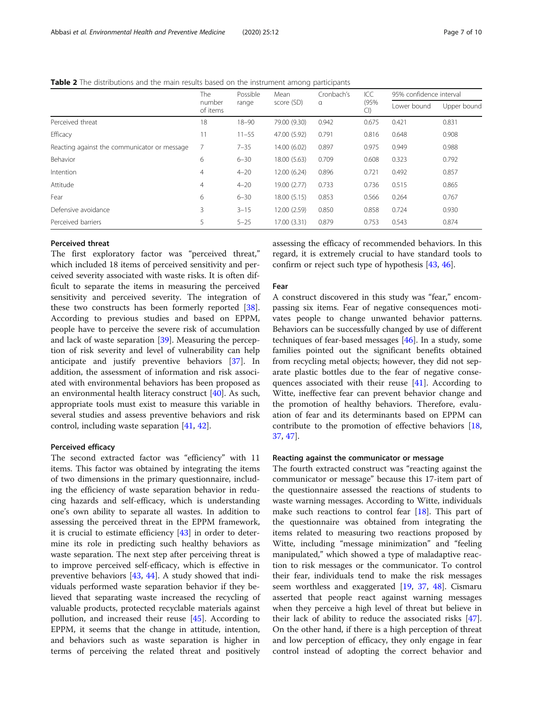<span id="page-6-0"></span>Table 2 The distributions and the main results based on the instrument among participants

|                                              | The<br>number<br>of items | Possible<br>range | Mean<br>score (SD) | Cronbach's<br>$\alpha$ | ICC<br>(95%)<br>Cl | 95% confidence interval |             |
|----------------------------------------------|---------------------------|-------------------|--------------------|------------------------|--------------------|-------------------------|-------------|
|                                              |                           |                   |                    |                        |                    | Lower bound             | Upper bound |
| Perceived threat                             | 18                        | $18 - 90$         | 79.00 (9.30)       | 0.942                  | 0.675              | 0.421                   | 0.831       |
| Efficacy                                     | 11                        | $11 - 55$         | 47.00 (5.92)       | 0.791                  | 0.816              | 0.648                   | 0.908       |
| Reacting against the communicator or message | 7                         | $7 - 35$          | 14.00 (6.02)       | 0.897                  | 0.975              | 0.949                   | 0.988       |
| Behavior                                     | 6                         | $6 - 30$          | 18.00 (5.63)       | 0.709                  | 0.608              | 0.323                   | 0.792       |
| Intention                                    | $\overline{4}$            | $4 - 20$          | 12.00 (6.24)       | 0.896                  | 0.721              | 0.492                   | 0.857       |
| Attitude                                     | $\overline{4}$            | $4 - 20$          | 19.00 (2.77)       | 0.733                  | 0.736              | 0.515                   | 0.865       |
| Fear                                         | 6                         | $6 - 30$          | 18.00 (5.15)       | 0.853                  | 0.566              | 0.264                   | 0.767       |
| Defensive avoidance                          | 3                         | $3 - 15$          | 12.00 (2.59)       | 0.850                  | 0.858              | 0.724                   | 0.930       |
| Perceived barriers                           | 5                         | $5 - 25$          | 17.00 (3.31)       | 0.879                  | 0.753              | 0.543                   | 0.874       |

#### Perceived threat

The first exploratory factor was "perceived threat," which included 18 items of perceived sensitivity and perceived severity associated with waste risks. It is often difficult to separate the items in measuring the perceived sensitivity and perceived severity. The integration of these two constructs has been formerly reported [\[38](#page-9-0)]. According to previous studies and based on EPPM, people have to perceive the severe risk of accumulation and lack of waste separation [\[39\]](#page-9-0). Measuring the perception of risk severity and level of vulnerability can help anticipate and justify preventive behaviors [[37\]](#page-9-0). In addition, the assessment of information and risk associated with environmental behaviors has been proposed as an environmental health literacy construct [[40](#page-9-0)]. As such, appropriate tools must exist to measure this variable in several studies and assess preventive behaviors and risk control, including waste separation [\[41,](#page-9-0) [42\]](#page-9-0).

#### Perceived efficacy

The second extracted factor was "efficiency" with 11 items. This factor was obtained by integrating the items of two dimensions in the primary questionnaire, including the efficiency of waste separation behavior in reducing hazards and self-efficacy, which is understanding one's own ability to separate all wastes. In addition to assessing the perceived threat in the EPPM framework, it is crucial to estimate efficiency [[43\]](#page-9-0) in order to determine its role in predicting such healthy behaviors as waste separation. The next step after perceiving threat is to improve perceived self-efficacy, which is effective in preventive behaviors [[43,](#page-9-0) [44](#page-9-0)]. A study showed that individuals performed waste separation behavior if they believed that separating waste increased the recycling of valuable products, protected recyclable materials against pollution, and increased their reuse [[45](#page-9-0)]. According to EPPM, it seems that the change in attitude, intention, and behaviors such as waste separation is higher in terms of perceiving the related threat and positively

assessing the efficacy of recommended behaviors. In this regard, it is extremely crucial to have standard tools to confirm or reject such type of hypothesis [[43,](#page-9-0) [46\]](#page-9-0).

#### Fear

A construct discovered in this study was "fear," encompassing six items. Fear of negative consequences motivates people to change unwanted behavior patterns. Behaviors can be successfully changed by use of different techniques of fear-based messages  $[46]$  $[46]$ . In a study, some families pointed out the significant benefits obtained from recycling metal objects; however, they did not separate plastic bottles due to the fear of negative consequences associated with their reuse [[41](#page-9-0)]. According to Witte, ineffective fear can prevent behavior change and the promotion of healthy behaviors. Therefore, evaluation of fear and its determinants based on EPPM can contribute to the promotion of effective behaviors [[18](#page-9-0), [37,](#page-9-0) [47](#page-9-0)].

#### Reacting against the communicator or message

The fourth extracted construct was "reacting against the communicator or message" because this 17-item part of the questionnaire assessed the reactions of students to waste warning messages. According to Witte, individuals make such reactions to control fear [[18\]](#page-9-0). This part of the questionnaire was obtained from integrating the items related to measuring two reactions proposed by Witte, including "message minimization" and "feeling manipulated," which showed a type of maladaptive reaction to risk messages or the communicator. To control their fear, individuals tend to make the risk messages seem worthless and exaggerated [\[19](#page-9-0), [37,](#page-9-0) [48\]](#page-9-0). Cismaru asserted that people react against warning messages when they perceive a high level of threat but believe in their lack of ability to reduce the associated risks [\[47](#page-9-0)]. On the other hand, if there is a high perception of threat and low perception of efficacy, they only engage in fear control instead of adopting the correct behavior and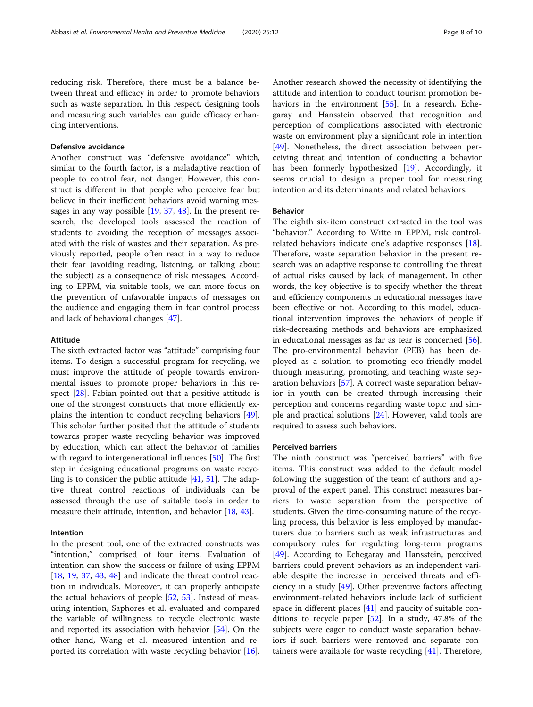reducing risk. Therefore, there must be a balance between threat and efficacy in order to promote behaviors such as waste separation. In this respect, designing tools and measuring such variables can guide efficacy enhancing interventions.

# Defensive avoidance

Another construct was "defensive avoidance" which, similar to the fourth factor, is a maladaptive reaction of people to control fear, not danger. However, this construct is different in that people who perceive fear but believe in their inefficient behaviors avoid warning messages in any way possible [\[19,](#page-9-0) [37](#page-9-0), [48\]](#page-9-0). In the present research, the developed tools assessed the reaction of students to avoiding the reception of messages associated with the risk of wastes and their separation. As previously reported, people often react in a way to reduce their fear (avoiding reading, listening, or talking about the subject) as a consequence of risk messages. According to EPPM, via suitable tools, we can more focus on the prevention of unfavorable impacts of messages on the audience and engaging them in fear control process and lack of behavioral changes [\[47](#page-9-0)].

#### Attitude

The sixth extracted factor was "attitude" comprising four items. To design a successful program for recycling, we must improve the attitude of people towards environmental issues to promote proper behaviors in this respect [[28](#page-9-0)]. Fabian pointed out that a positive attitude is one of the strongest constructs that more efficiently explains the intention to conduct recycling behaviors [\[49](#page-9-0)]. This scholar further posited that the attitude of students towards proper waste recycling behavior was improved by education, which can affect the behavior of families with regard to intergenerational influences [\[50](#page-9-0)]. The first step in designing educational programs on waste recycling is to consider the public attitude [\[41](#page-9-0), [51](#page-9-0)]. The adaptive threat control reactions of individuals can be assessed through the use of suitable tools in order to measure their attitude, intention, and behavior [[18,](#page-9-0) [43\]](#page-9-0).

# Intention

In the present tool, one of the extracted constructs was "intention," comprised of four items. Evaluation of intention can show the success or failure of using EPPM  $[18, 19, 37, 43, 48]$  $[18, 19, 37, 43, 48]$  $[18, 19, 37, 43, 48]$  $[18, 19, 37, 43, 48]$  $[18, 19, 37, 43, 48]$  $[18, 19, 37, 43, 48]$  $[18, 19, 37, 43, 48]$  $[18, 19, 37, 43, 48]$  $[18, 19, 37, 43, 48]$  $[18, 19, 37, 43, 48]$  and indicate the threat control reaction in individuals. Moreover, it can properly anticipate the actual behaviors of people [[52,](#page-9-0) [53\]](#page-9-0). Instead of measuring intention, Saphores et al. evaluated and compared the variable of willingness to recycle electronic waste and reported its association with behavior [\[54](#page-9-0)]. On the other hand, Wang et al. measured intention and reported its correlation with waste recycling behavior [\[16](#page-9-0)]. Another research showed the necessity of identifying the attitude and intention to conduct tourism promotion be-haviors in the environment [[55](#page-9-0)]. In a research, Echegaray and Hansstein observed that recognition and perception of complications associated with electronic waste on environment play a significant role in intention [[49\]](#page-9-0). Nonetheless, the direct association between perceiving threat and intention of conducting a behavior has been formerly hypothesized [[19\]](#page-9-0). Accordingly, it seems crucial to design a proper tool for measuring intention and its determinants and related behaviors.

# Behavior

The eighth six-item construct extracted in the tool was "behavior." According to Witte in EPPM, risk controlrelated behaviors indicate one's adaptive responses [\[18](#page-9-0)]. Therefore, waste separation behavior in the present research was an adaptive response to controlling the threat of actual risks caused by lack of management. In other words, the key objective is to specify whether the threat and efficiency components in educational messages have been effective or not. According to this model, educational intervention improves the behaviors of people if risk-decreasing methods and behaviors are emphasized in educational messages as far as fear is concerned [\[56](#page-9-0)]. The pro-environmental behavior (PEB) has been deployed as a solution to promoting eco-friendly model through measuring, promoting, and teaching waste separation behaviors [\[57](#page-9-0)]. A correct waste separation behavior in youth can be created through increasing their perception and concerns regarding waste topic and simple and practical solutions [\[24\]](#page-9-0). However, valid tools are required to assess such behaviors.

#### Perceived barriers

The ninth construct was "perceived barriers" with five items. This construct was added to the default model following the suggestion of the team of authors and approval of the expert panel. This construct measures barriers to waste separation from the perspective of students. Given the time-consuming nature of the recycling process, this behavior is less employed by manufacturers due to barriers such as weak infrastructures and compulsory rules for regulating long-term programs [[49\]](#page-9-0). According to Echegaray and Hansstein, perceived barriers could prevent behaviors as an independent variable despite the increase in perceived threats and efficiency in a study [\[49](#page-9-0)]. Other preventive factors affecting environment-related behaviors include lack of sufficient space in different places [[41\]](#page-9-0) and paucity of suitable conditions to recycle paper [[52\]](#page-9-0). In a study, 47.8% of the subjects were eager to conduct waste separation behaviors if such barriers were removed and separate containers were available for waste recycling [[41\]](#page-9-0). Therefore,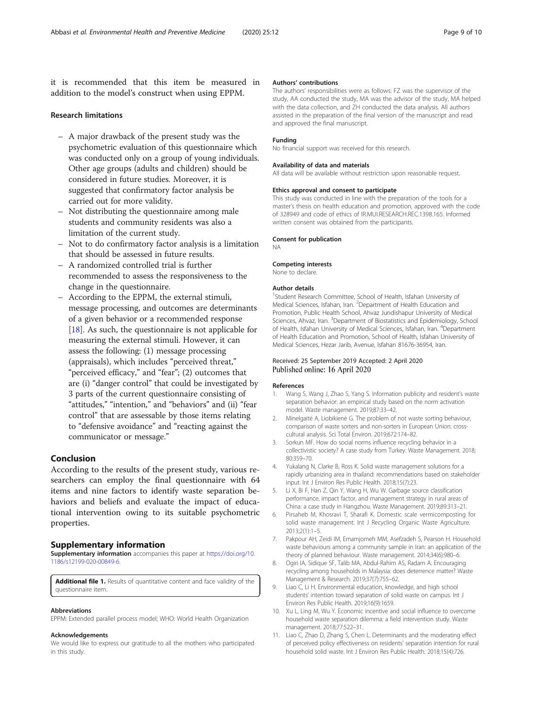<span id="page-8-0"></span>it is recommended that this item be measured in addition to the model's construct when using EPPM.

#### Research limitations

- A major drawback of the present study was the psychometric evaluation of this questionnaire which was conducted only on a group of young individuals. Other age groups (adults and children) should be considered in future studies. Moreover, it is suggested that confirmatory factor analysis be carried out for more validity.
- Not distributing the questionnaire among male students and community residents was also a limitation of the current study.
- Not to do confirmatory factor analysis is a limitation that should be assessed in future results.
- A randomized controlled trial is further recommended to assess the responsiveness to the change in the questionnaire.
- According to the EPPM, the external stimuli, message processing, and outcomes are determinants of a given behavior or a recommended response [[18](#page-9-0)]. As such, the questionnaire is not applicable for measuring the external stimuli. However, it can assess the following: (1) message processing (appraisals), which includes "perceived threat," "perceived efficacy," and "fear"; (2) outcomes that are (i) "danger control" that could be investigated by 3 parts of the current questionnaire consisting of "attitudes," "intention," and "behaviors" and (ii) "fear control" that are assessable by those items relating to "defensive avoidance" and "reacting against the communicator or message."

# Conclusion

According to the results of the present study, various researchers can employ the final questionnaire with 64 items and nine factors to identify waste separation behaviors and beliefs and evaluate the impact of educational intervention owing to its suitable psychometric properties.

# Supplementary information

Supplementary information accompanies this paper at [https://doi.org/10.](https://doi.org/10.1186/s12199-020-00849-6) [1186/s12199-020-00849-6](https://doi.org/10.1186/s12199-020-00849-6).

Additional file 1. Results of quantitative content and face validity of the questionnaire item.

#### Abbreviations

EPPM: Extended parallel process model; WHO: World Health Organization

#### Acknowledgements

We would like to express our gratitude to all the mothers who participated in this study.

#### Authors' contributions

The authors' responsibilities were as follows: FZ was the supervisor of the study, AA conducted the study, MA was the advisor of the study, MA helped with the data collection, and ZH conducted the data analysis. All authors assisted in the preparation of the final version of the manuscript and read and approved the final manuscript.

#### Funding

No financial support was received for this research.

#### Availability of data and materials

All data will be available without restriction upon reasonable request.

#### Ethics approval and consent to participate

This study was conducted in line with the preparation of the tools for a master's thesis on health education and promotion, approved with the code of 328949 and code of ethics of IR.MUI.RESEARCH.REC.1398.165. Informed written consent was obtained from the participants.

#### Consent for publication NA

#### Competing interests

None to declare.

#### Author details

<sup>1</sup>Student Research Committee, School of Health, Isfahan University of Medical Sciences, Isfahan, Iran. <sup>2</sup>Department of Health Education and Promotion, Public Health School, Ahvaz Jundishapur University of Medical Sciences, Ahvaz, Iran. <sup>3</sup>Department of Biostatistics and Epidemiology, School of Health, Isfahan University of Medical Sciences, Isfahan, Iran. <sup>4</sup>Department of Health Education and Promotion, School of Health, Isfahan University of Medical Sciences, Hezar Jarib, Avenue, Isfahan 81676-36954, Iran.

#### Received: 25 September 2019 Accepted: 2 April 2020 Published online: 16 April 2020

#### References

- Wang S, Wang J, Zhao S, Yang S. Information publicity and resident's waste separation behavior: an empirical study based on the norm activation model. Waste management. 2019;87:33–42.
- 2. Minelgaitė A, Liobikienė G. The problem of not waste sorting behaviour, comparison of waste sorters and non-sorters in European Union: crosscultural analysis. Sci Total Environ. 2019;672:174–82.
- 3. Sorkun MF. How do social norms influence recycling behavior in a collectivistic society? A case study from Turkey. Waste Management. 2018; 80:359–70.
- 4. Yukalang N, Clarke B, Ross K. Solid waste management solutions for a rapidly urbanizing area in thailand: recommendations based on stakeholder input. Int J Environ Res Public Health. 2018;15(7):23.
- 5. Li X, Bi F, Han Z, Qin Y, Wang H, Wu W. Garbage source classification performance, impact factor, and management strategy in rural areas of China: a case study in Hangzhou. Waste Management. 2019;89:313–21.
- 6. Pirsaheb M, Khosravi T, Sharafi K. Domestic scale vermicomposting for solid waste management. Int J Recycling Organic Waste Agriculture. 2013;2(1):1–5.
- 7. Pakpour AH, Zeidi IM, Emamjomeh MM, Asefzadeh S, Pearson H. Household waste behaviours among a community sample in Iran: an application of the theory of planned behaviour. Waste management. 2014;34(6):980–6.
- 8. Ogiri IA, Sidique SF, Talib MA, Abdul-Rahim AS, Radam A. Encouraging recycling among households in Malaysia: does deterrence matter? Waste Management & Research. 2019;37(7):755–62.
- 9. Liao C, Li H. Environmental education, knowledge, and high school students' intention toward separation of solid waste on campus. Int J Environ Res Public Health. 2019;16(9):1659.
- 10. Xu L, Ling M, Wu Y. Economic incentive and social influence to overcome household waste separation dilemma: a field intervention study. Waste management. 2018;77:522–31.
- 11. Liao C, Zhao D, Zhang S, Chen L. Determinants and the moderating effect of perceived policy effectiveness on residents' separation intention for rural household solid waste. Int J Environ Res Public Health. 2018;15(4):726.